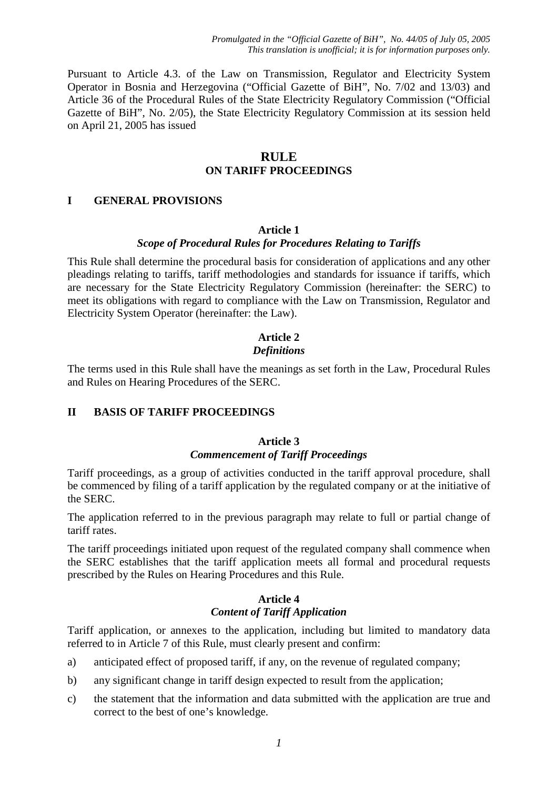*Promulgated in the "Official Gazette of BiH", No. 44/05 of July 05, 2005 This translation is unofficial; it is for information purposes only.*

Pursuant to Article 4.3. of the Law on Transmission, Regulator and Electricity System Operator in Bosnia and Herzegovina ("Official Gazette of BiH", No. 7/02 and 13/03) and Article 36 of the Procedural Rules of the State Electricity Regulatory Commission ("Official Gazette of BiH", No. 2/05), the State Electricity Regulatory Commission at its session held on April 21, 2005 has issued

## **RULE ON TARIFF PROCEEDINGS**

#### **I GENERAL PROVISIONS**

#### **Article 1**

### *Scope of Procedural Rules for Procedures Relating to Tariffs*

This Rule shall determine the procedural basis for consideration of applications and any other pleadings relating to tariffs, tariff methodologies and standards for issuance if tariffs, which are necessary for the State Electricity Regulatory Commission (hereinafter: the SERC) to meet its obligations with regard to compliance with the Law on Transmission, Regulator and Electricity System Operator (hereinafter: the Law).

## **Article 2** *Definitions*

The terms used in this Rule shall have the meanings as set forth in the Law, Procedural Rules and Rules on Hearing Procedures of the SERC.

#### **II BASIS OF TARIFF PROCEEDINGS**

### **Article 3** *Commencement of Tariff Proceedings*

Tariff proceedings, as a group of activities conducted in the tariff approval procedure, shall be commenced by filing of a tariff application by the regulated company or at the initiative of the SERC.

The application referred to in the previous paragraph may relate to full or partial change of tariff rates.

The tariff proceedings initiated upon request of the regulated company shall commence when the SERC establishes that the tariff application meets all formal and procedural requests prescribed by the Rules on Hearing Procedures and this Rule.

#### **Article 4** *Content of Tariff Application*

Tariff application, or annexes to the application, including but limited to mandatory data referred to in Article 7 of this Rule, must clearly present and confirm:

- a) anticipated effect of proposed tariff, if any, on the revenue of regulated company;
- b) any significant change in tariff design expected to result from the application;
- c) the statement that the information and data submitted with the application are true and correct to the best of one's knowledge.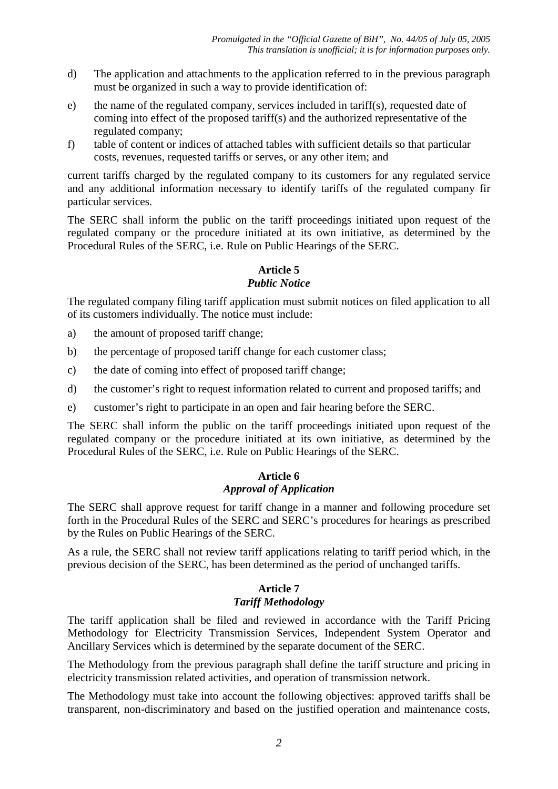- d) The application and attachments to the application referred to in the previous paragraph must be organized in such a way to provide identification of:
- e) the name of the regulated company, services included in tariff(s), requested date of coming into effect of the proposed tariff(s) and the authorized representative of the regulated company;
- f) table of content or indices of attached tables with sufficient details so that particular costs, revenues, requested tariffs or serves, or any other item; and

current tariffs charged by the regulated company to its customers for any regulated service and any additional information necessary to identify tariffs of the regulated company fir particular services.

The SERC shall inform the public on the tariff proceedings initiated upon request of the regulated company or the procedure initiated at its own initiative, as determined by the Procedural Rules of the SERC, i.e. Rule on Public Hearings of the SERC.

## **Article 5** *Public Notice*

The regulated company filing tariff application must submit notices on filed application to all of its customers individually. The notice must include:

- a) the amount of proposed tariff change;
- b) the percentage of proposed tariff change for each customer class;
- c) the date of coming into effect of proposed tariff change;
- d) the customer's right to request information related to current and proposed tariffs; and
- e) customer's right to participate in an open and fair hearing before the SERC.

The SERC shall inform the public on the tariff proceedings initiated upon request of the regulated company or the procedure initiated at its own initiative, as determined by the Procedural Rules of the SERC, i.e. Rule on Public Hearings of the SERC.

## **Article 6** *Approval of Application*

The SERC shall approve request for tariff change in a manner and following procedure set forth in the Procedural Rules of the SERC and SERC's procedures for hearings as prescribed by the Rules on Public Hearings of the SERC.

As a rule, the SERC shall not review tariff applications relating to tariff period which, in the previous decision of the SERC, has been determined as the period of unchanged tariffs.

#### **Article 7** *Tariff Methodology*

The tariff application shall be filed and reviewed in accordance with the Tariff Pricing Methodology for Electricity Transmission Services, Independent System Operator and Ancillary Services which is determined by the separate document of the SERC.

The Methodology from the previous paragraph shall define the tariff structure and pricing in electricity transmission related activities, and operation of transmission network.

The Methodology must take into account the following objectives: approved tariffs shall be transparent, non-discriminatory and based on the justified operation and maintenance costs,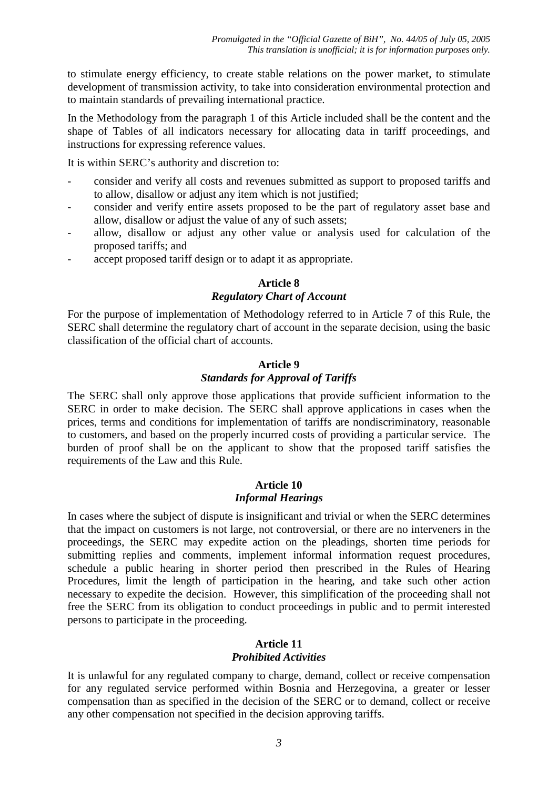to stimulate energy efficiency, to create stable relations on the power market, to stimulate development of transmission activity, to take into consideration environmental protection and to maintain standards of prevailing international practice.

In the Methodology from the paragraph 1 of this Article included shall be the content and the shape of Tables of all indicators necessary for allocating data in tariff proceedings, and instructions for expressing reference values.

It is within SERC's authority and discretion to:

- consider and verify all costs and revenues submitted as support to proposed tariffs and to allow, disallow or adjust any item which is not justified;
- consider and verify entire assets proposed to be the part of regulatory asset base and allow, disallow or adjust the value of any of such assets;
- allow, disallow or adjust any other value or analysis used for calculation of the proposed tariffs; and
- accept proposed tariff design or to adapt it as appropriate.

## **Article 8**

## *Regulatory Chart of Account*

For the purpose of implementation of Methodology referred to in Article 7 of this Rule, the SERC shall determine the regulatory chart of account in the separate decision, using the basic classification of the official chart of accounts.

## **Article 9**

## *Standards for Approval of Tariffs*

The SERC shall only approve those applications that provide sufficient information to the SERC in order to make decision. The SERC shall approve applications in cases when the prices, terms and conditions for implementation of tariffs are nondiscriminatory, reasonable to customers, and based on the properly incurred costs of providing a particular service. The burden of proof shall be on the applicant to show that the proposed tariff satisfies the requirements of the Law and this Rule.

#### **Article 10** *Informal Hearings*

In cases where the subject of dispute is insignificant and trivial or when the SERC determines that the impact on customers is not large, not controversial, or there are no interveners in the proceedings, the SERC may expedite action on the pleadings, shorten time periods for submitting replies and comments, implement informal information request procedures, schedule a public hearing in shorter period then prescribed in the Rules of Hearing Procedures, limit the length of participation in the hearing, and take such other action necessary to expedite the decision. However, this simplification of the proceeding shall not free the SERC from its obligation to conduct proceedings in public and to permit interested persons to participate in the proceeding.

# **Article 11**

#### *Prohibited Activities*

It is unlawful for any regulated company to charge, demand, collect or receive compensation for any regulated service performed within Bosnia and Herzegovina, a greater or lesser compensation than as specified in the decision of the SERC or to demand, collect or receive any other compensation not specified in the decision approving tariffs.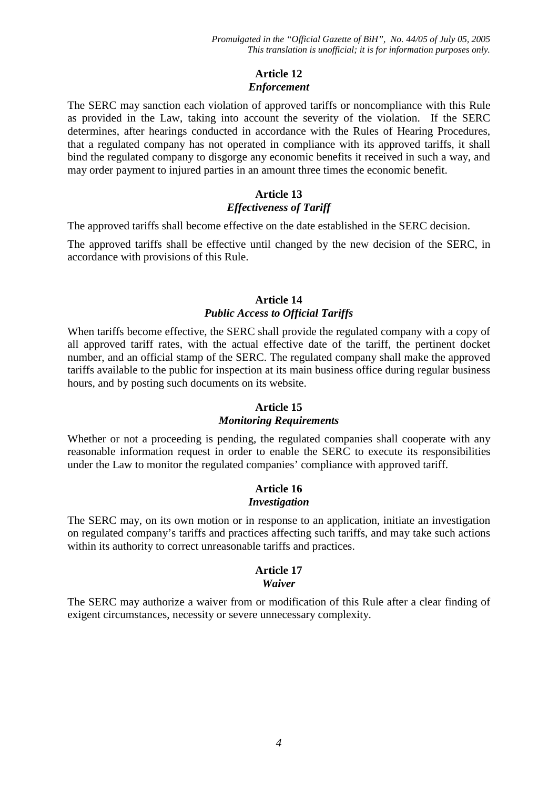## **Article 12** *Enforcement*

The SERC may sanction each violation of approved tariffs or noncompliance with this Rule as provided in the Law, taking into account the severity of the violation. If the SERC determines, after hearings conducted in accordance with the Rules of Hearing Procedures, that a regulated company has not operated in compliance with its approved tariffs, it shall bind the regulated company to disgorge any economic benefits it received in such a way, and may order payment to injured parties in an amount three times the economic benefit.

## **Article 13** *Effectiveness of Tariff*

The approved tariffs shall become effective on the date established in the SERC decision.

The approved tariffs shall be effective until changed by the new decision of the SERC, in accordance with provisions of this Rule.

## **Article 14** *Public Access to Official Tariffs*

When tariffs become effective, the SERC shall provide the regulated company with a copy of all approved tariff rates, with the actual effective date of the tariff, the pertinent docket number, and an official stamp of the SERC. The regulated company shall make the approved tariffs available to the public for inspection at its main business office during regular business hours, and by posting such documents on its website.

## **Article 15**

## *Monitoring Requirements*

Whether or not a proceeding is pending, the regulated companies shall cooperate with any reasonable information request in order to enable the SERC to execute its responsibilities under the Law to monitor the regulated companies' compliance with approved tariff.

## **Article 16** *Investigation*

The SERC may, on its own motion or in response to an application, initiate an investigation on regulated company's tariffs and practices affecting such tariffs, and may take such actions within its authority to correct unreasonable tariffs and practices.

#### **Article 17** *Waiver*

The SERC may authorize a waiver from or modification of this Rule after a clear finding of exigent circumstances, necessity or severe unnecessary complexity.